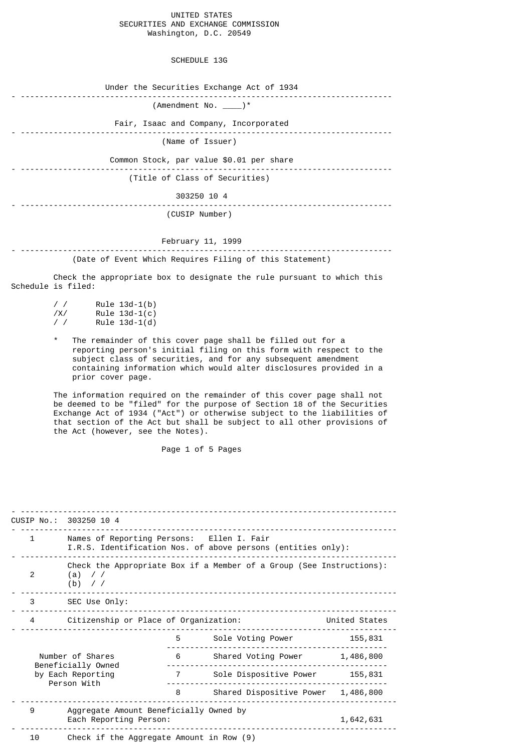## UNITED STATES SECURITIES AND EXCHANGE COMMISSION Washington, D.C. 20549

SCHEDULE 13G

| Under the Securities Exchange Act of 1934 |
|-------------------------------------------|
| $(Amendment No. \_\_ )^*$                 |
| Fair, Isaac and Company, Incorporated     |
| (Name of Issuer)                          |
| Common Stock, par value \$0.01 per share  |
| (Title of Class of Securities)            |
| 303250 10 4                               |
| (CUSIP Number)                            |
|                                           |
| February 11, 1999                         |

- ------------------------------------------------------------------------------- (Date of Event Which Requires Filing of this Statement)

 Check the appropriate box to designate the rule pursuant to which this Schedule is filed:

| $\prime$ / | $Rule 13d-1(b)$ |
|------------|-----------------|
| /X/        | Rule $13d-1(c)$ |
| $\prime$ / | Rule $13d-1(d)$ |

The remainder of this cover page shall be filled out for a reporting person's initial filing on this form with respect to the subject class of securities, and for any subsequent amendment containing information which would alter disclosures provided in a prior cover page.

 The information required on the remainder of this cover page shall not be deemed to be "filed" for the purpose of Section 18 of the Securities Exchange Act of 1934 ("Act") or otherwise subject to the liabilities of that section of the Act but shall be subject to all other provisions of the Act (however, see the Notes).

Page 1 of 5 Pages

- -------------------------------------------------------------------------------- CUSIP No.: 303250 10 4 - -------------------------------------------------------------------------------- 1 Names of Reporting Persons: Ellen I. Fair I.R.S. Identification Nos. of above persons (entities only): - -------------------------------------------------------------------------------- Check the Appropriate Box if a Member of a Group (See Instructions): 2 (a) / /  $(b)$  // - -------------------------------------------------------------------------------- 3 SEC Use Only: - -------------------------------------------------------------------------------- 4 Citizenship or Place of Organization: - -------------------------------------------------------------------------------- 5 Sole Voting Power 155,831 ----------------------------------------------- Number of Shares 6 Shared Voting Power 1,486,800 Beneficially Owned ---------------------------------------------- by Each Reporting 7 Sole Dispositive Power 155,831 Person With ----------------------------------------------- 8 Shared Dispositive Power 1,486,800 - -------------------------------------------------------------------------------- 9 Aggregate Amount Beneficially Owned by Each Reporting Person: 1,642,631 - -------------------------------------------------------------------------------- Check if the Aggregate Amount in Row  $(9)$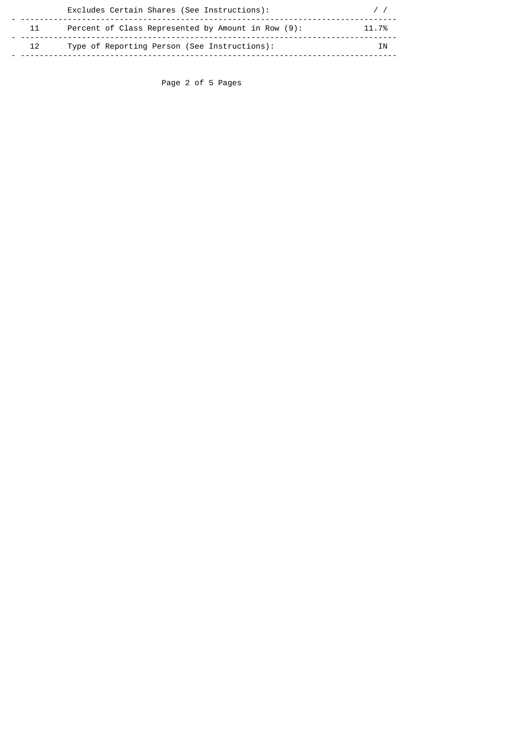|                 | Excludes Certain Shares (See Instructions):        |       |
|-----------------|----------------------------------------------------|-------|
| 11              | Percent of Class Represented by Amount in Row (9): | 11.7% |
| 12 <sup>7</sup> | Type of Reporting Person (See Instructions):       | ΤN    |

Page 2 of 5 Pages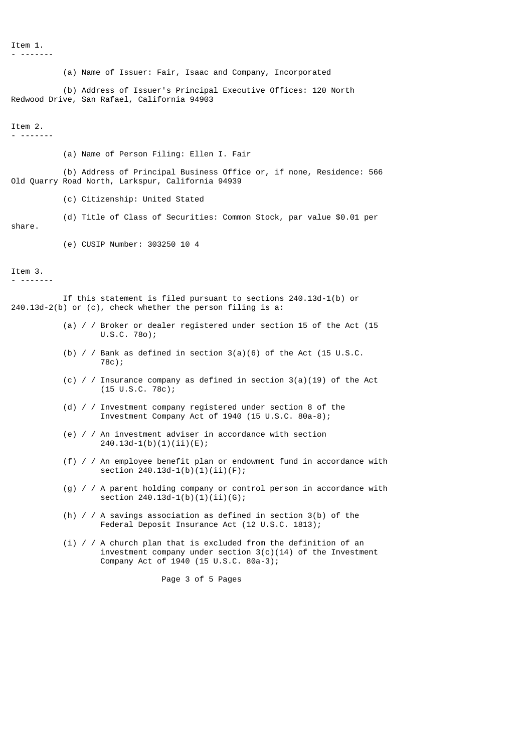Item 1. - -------

(a) Name of Issuer: Fair, Isaac and Company, Incorporated

 (b) Address of Issuer's Principal Executive Offices: 120 North Redwood Drive, San Rafael, California 94903

## Item 2.

- -------

(a) Name of Person Filing: Ellen I. Fair

- (b) Address of Principal Business Office or, if none, Residence: 566 Old Quarry Road North, Larkspur, California 94939
	- (c) Citizenship: United Stated
	- (d) Title of Class of Securities: Common Stock, par value \$0.01 per

share.

(e) CUSIP Number: 303250 10 4

Item 3.

- -------

 If this statement is filed pursuant to sections 240.13d-1(b) or 240.13d-2(b) or (c), check whether the person filing is a:

- (a) / / Broker or dealer registered under section 15 of the Act (15 U.S.C. 78o);
- (b) / / Bank as defined in section  $3(a)(6)$  of the Act (15 U.S.C. 78c);
- (c) / / Insurance company as defined in section  $3(a)(19)$  of the Act (15 U.S.C. 78c);
- (d) / / Investment company registered under section 8 of the Investment Company Act of 1940 (15 U.S.C. 80a-8);
- (e) / / An investment adviser in accordance with section 240.13d-1(b)(1)(ii)(E);
- (f) / / An employee benefit plan or endowment fund in accordance with section 240.13d-1(b)(1)(ii)(F);
- (g) / / A parent holding company or control person in accordance with section 240.13d-1(b)(1)(ii)(G);
- (h) / / A savings association as defined in section 3(b) of the Federal Deposit Insurance Act (12 U.S.C. 1813);
- (i)  $\ell$  / A church plan that is excluded from the definition of an investment company under section 3(c)(14) of the Investment Company Act of 1940 (15 U.S.C. 80a-3);

Page 3 of 5 Pages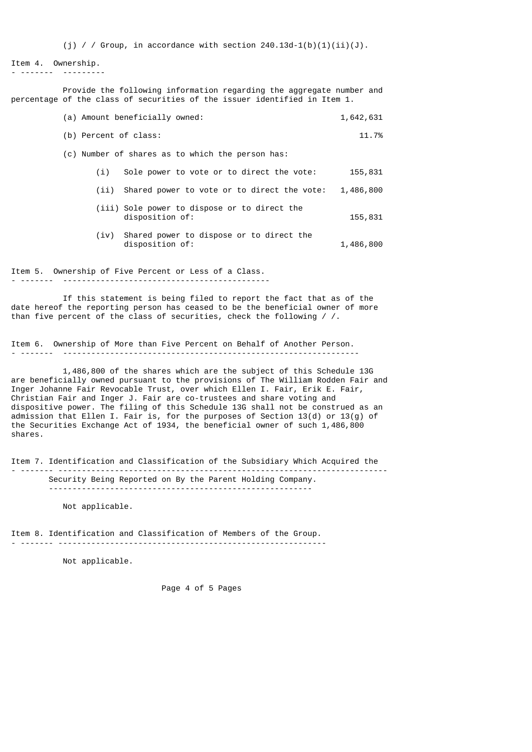(i) / / Group, in accordance with section  $240.13d-1(b)(1)(ii)(J)$ .

```
Item 4. Ownership.<br>- ------- --------
- ------- ---------
```
 Provide the following information regarding the aggregate number and percentage of the class of securities of the issuer identified in Item 1.

|                       | (a) Amount beneficially owned:                                  | 1,642,631 |
|-----------------------|-----------------------------------------------------------------|-----------|
| (b) Percent of class: |                                                                 | 11.7%     |
|                       | (c) Number of shares as to which the person has:                |           |
| (i)                   | Sole power to vote or to direct the vote:                       | 155,831   |
| (i)                   | Shared power to vote or to direct the vote:                     | 1,486,800 |
|                       | (iii) Sole power to dispose or to direct the<br>disposition of: | 155,831   |
| (iv)                  | Shared power to dispose or to direct the<br>disposition of:     | 1,486,800 |
|                       |                                                                 |           |

Item 5. Ownership of Five Percent or Less of a Class. - ------- --------------------------------------------

 If this statement is being filed to report the fact that as of the date hereof the reporting person has ceased to be the beneficial owner of more than five percent of the class of securities, check the following / /.

Item 6. Ownership of More than Five Percent on Behalf of Another Person. - ------- ---------------------------------------------------------------

 1,486,800 of the shares which are the subject of this Schedule 13G are beneficially owned pursuant to the provisions of The William Rodden Fair and Inger Johanne Fair Revocable Trust, over which Ellen I. Fair, Erik E. Fair, Christian Fair and Inger J. Fair are co-trustees and share voting and dispositive power. The filing of this Schedule 13G shall not be construed as an admission that Ellen I. Fair is, for the purposes of Section 13(d) or 13(g) of the Securities Exchange Act of 1934, the beneficial owner of such 1,486,800 shares.

Item 7. Identification and Classification of the Subsidiary Which Acquired the - ------- ---------------------------------------------------------------------- Security Being Reported on By the Parent Holding Company. --------------------------------------------------------

Not applicable.

Item 8. Identification and Classification of Members of the Group.

- ------- ---------------------------------------------------------

Not applicable.

Page 4 of 5 Pages